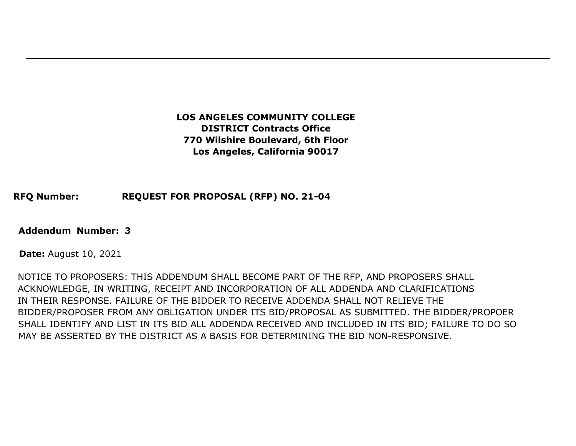## **LOS ANGELES COMMUNITY COLLEGE DISTRICT Contracts Office 770 Wilshire Boulevard, 6th Floor Los Angeles, California 90017**

### **RFQ Number: REQUEST FOR PROPOSAL (RFP) NO. 21-04**

#### **Addendum Number: 3**

**Date:** August 10, 2021

NOTICE TO PROPOSERS: THIS ADDENDUM SHALL BECOME PART OF THE RFP, AND PROPOSERS SHALL ACKNOWLEDGE, IN WRITING, RECEIPT AND INCORPORATION OF ALL ADDENDA AND CLARIFICATIONS IN THEIR RESPONSE. FAILURE OF THE BIDDER TO RECEIVE ADDENDA SHALL NOT RELIEVE THE BIDDER/PROPOSER FROM ANY OBLIGATION UNDER ITS BID/PROPOSAL AS SUBMITTED. THE BIDDER/PROPOER SHALL IDENTIFY AND LIST IN ITS BID ALL ADDENDA RECEIVED AND INCLUDED IN ITS BID; FAILURE TO DO SO MAY BE ASSERTED BY THE DISTRICT AS A BASIS FOR DETERMINING THE BID NON-RESPONSIVE.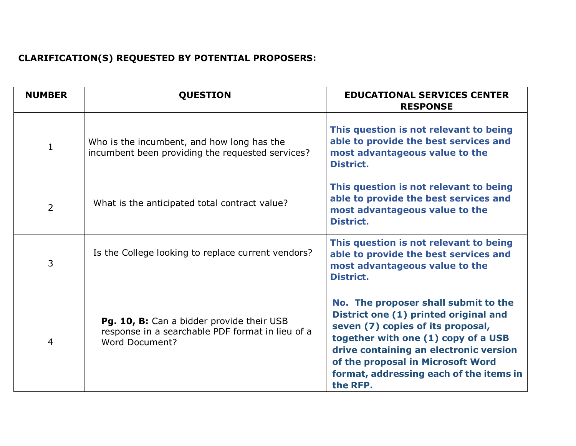# **CLARIFICATION(S) REQUESTED BY POTENTIAL PROPOSERS:**

| <b>NUMBER</b>  | <b>QUESTION</b>                                                                                                        | <b>EDUCATIONAL SERVICES CENTER</b><br><b>RESPONSE</b>                                                                                                                                                                                                                                           |
|----------------|------------------------------------------------------------------------------------------------------------------------|-------------------------------------------------------------------------------------------------------------------------------------------------------------------------------------------------------------------------------------------------------------------------------------------------|
| $\mathbf{1}$   | Who is the incumbent, and how long has the<br>incumbent been providing the requested services?                         | This question is not relevant to being<br>able to provide the best services and<br>most advantageous value to the<br>District.                                                                                                                                                                  |
| $\overline{2}$ | What is the anticipated total contract value?                                                                          | This question is not relevant to being<br>able to provide the best services and<br>most advantageous value to the<br>District.                                                                                                                                                                  |
| 3              | Is the College looking to replace current vendors?                                                                     | This question is not relevant to being<br>able to provide the best services and<br>most advantageous value to the<br>District.                                                                                                                                                                  |
| $\overline{4}$ | Pg. 10, B: Can a bidder provide their USB<br>response in a searchable PDF format in lieu of a<br><b>Word Document?</b> | No. The proposer shall submit to the<br>District one (1) printed original and<br>seven (7) copies of its proposal,<br>together with one (1) copy of a USB<br>drive containing an electronic version<br>of the proposal in Microsoft Word<br>format, addressing each of the items in<br>the RFP. |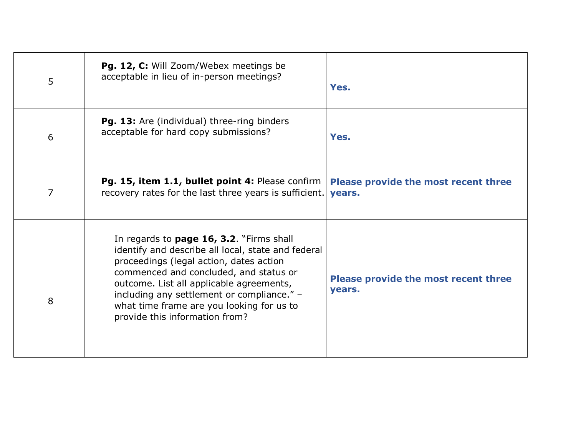| 5              | Pg. 12, C: Will Zoom/Webex meetings be<br>acceptable in lieu of in-person meetings?                                                                                                                                                                                                                                                                          | Yes.                                           |
|----------------|--------------------------------------------------------------------------------------------------------------------------------------------------------------------------------------------------------------------------------------------------------------------------------------------------------------------------------------------------------------|------------------------------------------------|
| 6              | <b>Pg. 13:</b> Are (individual) three-ring binders<br>acceptable for hard copy submissions?                                                                                                                                                                                                                                                                  | Yes.                                           |
| $\overline{7}$ | Pg. 15, item 1.1, bullet point 4: Please confirm<br>recovery rates for the last three years is sufficient.                                                                                                                                                                                                                                                   | Please provide the most recent three<br>years. |
| 8              | In regards to page 16, 3.2. "Firms shall<br>identify and describe all local, state and federal<br>proceedings (legal action, dates action<br>commenced and concluded, and status or<br>outcome. List all applicable agreements,<br>including any settlement or compliance." -<br>what time frame are you looking for us to<br>provide this information from? | Please provide the most recent three<br>years. |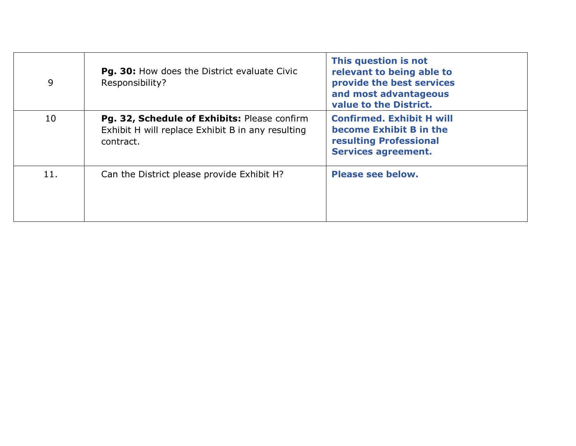| 9   | Pg. 30: How does the District evaluate Civic<br>Responsibility?                                                | This question is not<br>relevant to being able to<br>provide the best services<br>and most advantageous<br>value to the District. |
|-----|----------------------------------------------------------------------------------------------------------------|-----------------------------------------------------------------------------------------------------------------------------------|
| 10  | Pg. 32, Schedule of Exhibits: Please confirm<br>Exhibit H will replace Exhibit B in any resulting<br>contract. | <b>Confirmed. Exhibit H will</b><br>become Exhibit B in the<br><b>resulting Professional</b><br><b>Services agreement.</b>        |
| 11. | Can the District please provide Exhibit H?                                                                     | <b>Please see below.</b>                                                                                                          |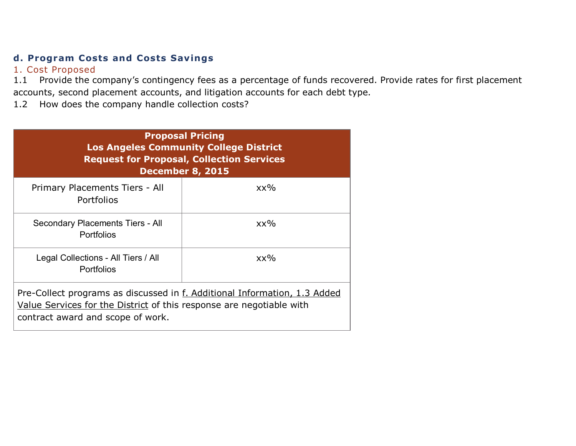## **d. Program Costs and Costs Savings**

## 1. Cost Proposed

1.1 Provide the company's contingency fees as a percentage of funds recovered. Provide rates for first placement accounts, second placement accounts, and litigation accounts for each debt type.

1.2 How does the company handle collection costs?

| <b>Proposal Pricing</b><br><b>Los Angeles Community College District</b><br><b>Request for Proposal, Collection Services</b><br><b>December 8, 2015</b>                                |        |  |
|----------------------------------------------------------------------------------------------------------------------------------------------------------------------------------------|--------|--|
| Primary Placements Tiers - All<br>Portfolios                                                                                                                                           | $XX\%$ |  |
| Secondary Placements Tiers - All<br><b>Portfolios</b>                                                                                                                                  | $XX\%$ |  |
| Legal Collections - All Tiers / All<br><b>Portfolios</b>                                                                                                                               | $XX\%$ |  |
| Pre-Collect programs as discussed in f. Additional Information, 1.3 Added<br>Value Services for the District of this response are negotiable with<br>contract award and scope of work. |        |  |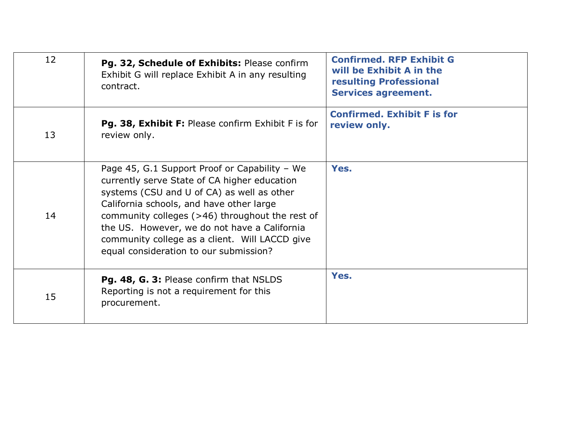| 12 | Pg. 32, Schedule of Exhibits: Please confirm<br>Exhibit G will replace Exhibit A in any resulting<br>contract.                                                                                                                                                                                                                                                                           | <b>Confirmed. RFP Exhibit G</b><br>will be Exhibit A in the<br><b>resulting Professional</b><br><b>Services agreement.</b> |
|----|------------------------------------------------------------------------------------------------------------------------------------------------------------------------------------------------------------------------------------------------------------------------------------------------------------------------------------------------------------------------------------------|----------------------------------------------------------------------------------------------------------------------------|
| 13 | Pg. 38, Exhibit F: Please confirm Exhibit F is for<br>review only.                                                                                                                                                                                                                                                                                                                       | <b>Confirmed. Exhibit F is for</b><br>review only.                                                                         |
| 14 | Page 45, G.1 Support Proof or Capability - We<br>currently serve State of CA higher education<br>systems (CSU and U of CA) as well as other<br>California schools, and have other large<br>community colleges $(>46)$ throughout the rest of<br>the US. However, we do not have a California<br>community college as a client. Will LACCD give<br>equal consideration to our submission? | Yes.                                                                                                                       |
| 15 | Pg. 48, G. 3: Please confirm that NSLDS<br>Reporting is not a requirement for this<br>procurement.                                                                                                                                                                                                                                                                                       | Yes.                                                                                                                       |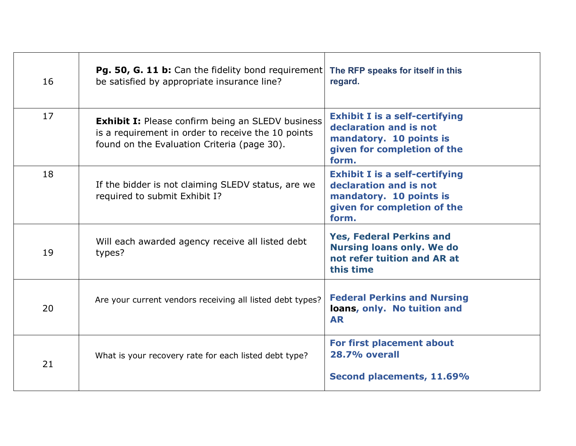| 16 | <b>Pg. 50, G. 11 b:</b> Can the fidelity bond requirement<br>be satisfied by appropriate insurance line?                                                      | The RFP speaks for itself in this<br>regard.                                                                                       |
|----|---------------------------------------------------------------------------------------------------------------------------------------------------------------|------------------------------------------------------------------------------------------------------------------------------------|
| 17 | <b>Exhibit I:</b> Please confirm being an SLEDV business<br>is a requirement in order to receive the 10 points<br>found on the Evaluation Criteria (page 30). | <b>Exhibit I is a self-certifying</b><br>declaration and is not<br>mandatory. 10 points is<br>given for completion of the<br>form. |
| 18 | If the bidder is not claiming SLEDV status, are we<br>required to submit Exhibit I?                                                                           | <b>Exhibit I is a self-certifying</b><br>declaration and is not<br>mandatory. 10 points is<br>given for completion of the<br>form. |
| 19 | Will each awarded agency receive all listed debt<br>types?                                                                                                    | <b>Yes, Federal Perkins and</b><br><b>Nursing loans only. We do</b><br>not refer tuition and AR at<br>this time                    |
| 20 | Are your current vendors receiving all listed debt types?                                                                                                     | <b>Federal Perkins and Nursing</b><br>loans, only. No tuition and<br><b>AR</b>                                                     |
| 21 | What is your recovery rate for each listed debt type?                                                                                                         | For first placement about<br><b>28.7% overall</b><br>Second placements, 11.69%                                                     |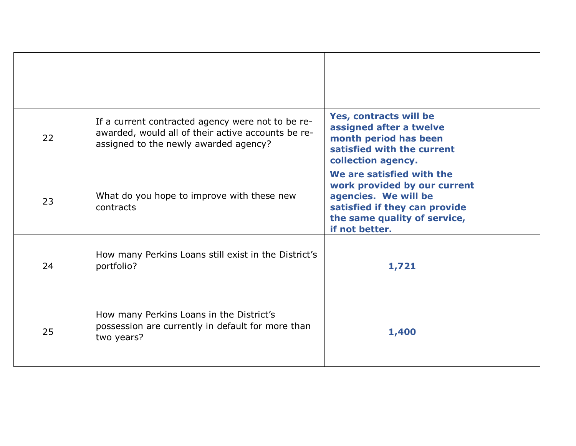| 22 | If a current contracted agency were not to be re-<br>awarded, would all of their active accounts be re-<br>assigned to the newly awarded agency? | Yes, contracts will be<br>assigned after a twelve<br>month period has been<br>satisfied with the current<br>collection agency.                                       |
|----|--------------------------------------------------------------------------------------------------------------------------------------------------|----------------------------------------------------------------------------------------------------------------------------------------------------------------------|
| 23 | What do you hope to improve with these new<br>contracts                                                                                          | We are satisfied with the<br>work provided by our current<br>agencies. We will be<br>satisfied if they can provide<br>the same quality of service,<br>if not better. |
| 24 | How many Perkins Loans still exist in the District's<br>portfolio?                                                                               | 1,721                                                                                                                                                                |
| 25 | How many Perkins Loans in the District's<br>possession are currently in default for more than<br>two years?                                      | 1,400                                                                                                                                                                |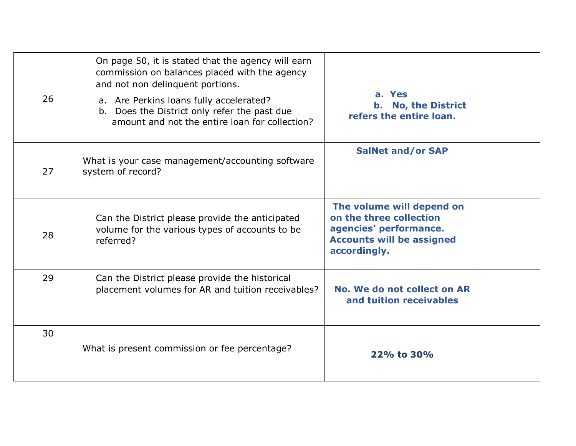| 26 | On page 50, it is stated that the agency will earn<br>commission on balances placed with the agency<br>and not non delinquent portions.<br>a. Are Perkins loans fully accelerated?<br>b. Does the District only refer the past due<br>amount and not the entire loan for collection? | a. Yes<br><b>b.</b> No, the District<br>refers the entire loan.                                                                    |
|----|--------------------------------------------------------------------------------------------------------------------------------------------------------------------------------------------------------------------------------------------------------------------------------------|------------------------------------------------------------------------------------------------------------------------------------|
| 27 | What is your case management/accounting software<br>system of record?                                                                                                                                                                                                                | <b>SalNet and/or SAP</b>                                                                                                           |
| 28 | Can the District please provide the anticipated<br>volume for the various types of accounts to be<br>referred?                                                                                                                                                                       | The volume will depend on<br>on the three collection<br>agencies' performance.<br><b>Accounts will be assigned</b><br>accordingly. |
| 29 | Can the District please provide the historical<br>placement volumes for AR and tuition receivables?                                                                                                                                                                                  | No. We do not collect on AR<br>and tuition receivables                                                                             |
| 30 | What is present commission or fee percentage?                                                                                                                                                                                                                                        | 22% to 30%                                                                                                                         |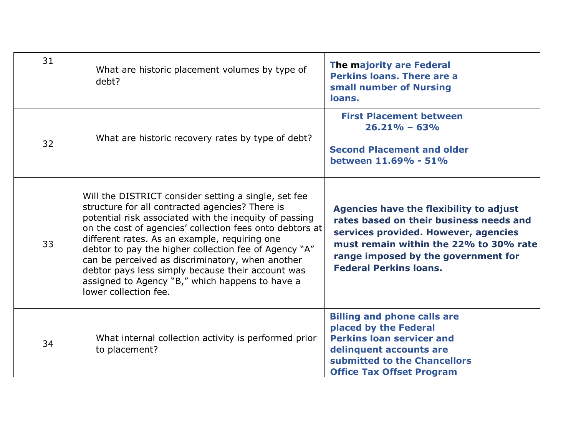| 31 | What are historic placement volumes by type of<br>debt?                                                                                                                                                                                                                                                                                                                                                                                                                                                                      | The majority are Federal<br><b>Perkins loans. There are a</b><br>small number of Nursing<br>loans.                                                                                                                                           |
|----|------------------------------------------------------------------------------------------------------------------------------------------------------------------------------------------------------------------------------------------------------------------------------------------------------------------------------------------------------------------------------------------------------------------------------------------------------------------------------------------------------------------------------|----------------------------------------------------------------------------------------------------------------------------------------------------------------------------------------------------------------------------------------------|
| 32 | What are historic recovery rates by type of debt?                                                                                                                                                                                                                                                                                                                                                                                                                                                                            | <b>First Placement between</b><br>$26.21\% - 63\%$<br><b>Second Placement and older</b><br>between 11.69% - 51%                                                                                                                              |
| 33 | Will the DISTRICT consider setting a single, set fee<br>structure for all contracted agencies? There is<br>potential risk associated with the inequity of passing<br>on the cost of agencies' collection fees onto debtors at<br>different rates. As an example, requiring one<br>debtor to pay the higher collection fee of Agency "A"<br>can be perceived as discriminatory, when another<br>debtor pays less simply because their account was<br>assigned to Agency "B," which happens to have a<br>lower collection fee. | Agencies have the flexibility to adjust<br>rates based on their business needs and<br>services provided. However, agencies<br>must remain within the 22% to 30% rate<br>range imposed by the government for<br><b>Federal Perkins loans.</b> |
| 34 | What internal collection activity is performed prior<br>to placement?                                                                                                                                                                                                                                                                                                                                                                                                                                                        | <b>Billing and phone calls are</b><br>placed by the Federal<br><b>Perkins loan servicer and</b><br>delinquent accounts are<br>submitted to the Chancellors<br><b>Office Tax Offset Program</b>                                               |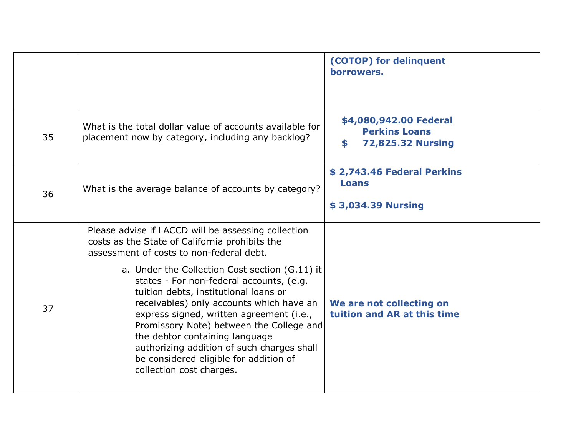|    |                                                                                                                                                                                                                                                                                                                                                                                                                               | (COTOP) for delinquent<br>horrowers.                                             |
|----|-------------------------------------------------------------------------------------------------------------------------------------------------------------------------------------------------------------------------------------------------------------------------------------------------------------------------------------------------------------------------------------------------------------------------------|----------------------------------------------------------------------------------|
| 35 | What is the total dollar value of accounts available for<br>placement now by category, including any backlog?                                                                                                                                                                                                                                                                                                                 | \$4,080,942.00 Federal<br><b>Perkins Loans</b><br><b>72,825.32 Nursing</b><br>\$ |
| 36 | What is the average balance of accounts by category?                                                                                                                                                                                                                                                                                                                                                                          | \$2,743.46 Federal Perkins<br><b>Loans</b><br>\$3,034.39 Nursing                 |
|    | Please advise if LACCD will be assessing collection<br>costs as the State of California prohibits the<br>assessment of costs to non-federal debt.                                                                                                                                                                                                                                                                             |                                                                                  |
| 37 | a. Under the Collection Cost section (G.11) it<br>states - For non-federal accounts, (e.g.<br>tuition debts, institutional loans or<br>receivables) only accounts which have an<br>express signed, written agreement (i.e.,<br>Promissory Note) between the College and<br>the debtor containing language<br>authorizing addition of such charges shall<br>be considered eligible for addition of<br>collection cost charges. | We are not collecting on<br>tuition and AR at this time                          |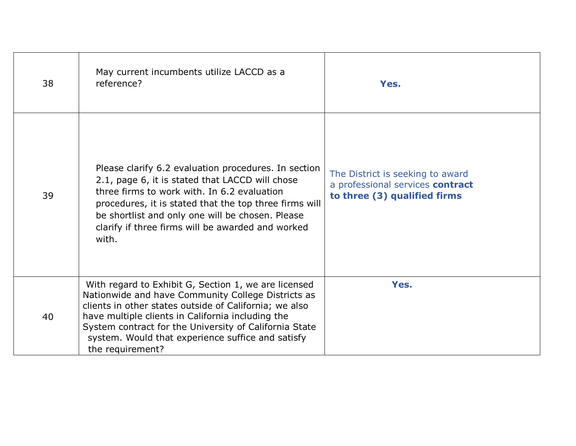| 38 | May current incumbents utilize LACCD as a<br>reference?                                                                                                                                                                                                                                                                                                      | Yes.                                                                                                 |
|----|--------------------------------------------------------------------------------------------------------------------------------------------------------------------------------------------------------------------------------------------------------------------------------------------------------------------------------------------------------------|------------------------------------------------------------------------------------------------------|
| 39 | Please clarify 6.2 evaluation procedures. In section<br>2.1, page 6, it is stated that LACCD will chose<br>three firms to work with. In 6.2 evaluation<br>procedures, it is stated that the top three firms will<br>be shortlist and only one will be chosen. Please<br>clarify if three firms will be awarded and worked<br>with.                           | The District is seeking to award<br>a professional services contract<br>to three (3) qualified firms |
| 40 | With regard to Exhibit G, Section 1, we are licensed<br>Nationwide and have Community College Districts as<br>clients in other states outside of California; we also<br>have multiple clients in California including the<br>System contract for the University of California State<br>system. Would that experience suffice and satisfy<br>the requirement? | Yes.                                                                                                 |